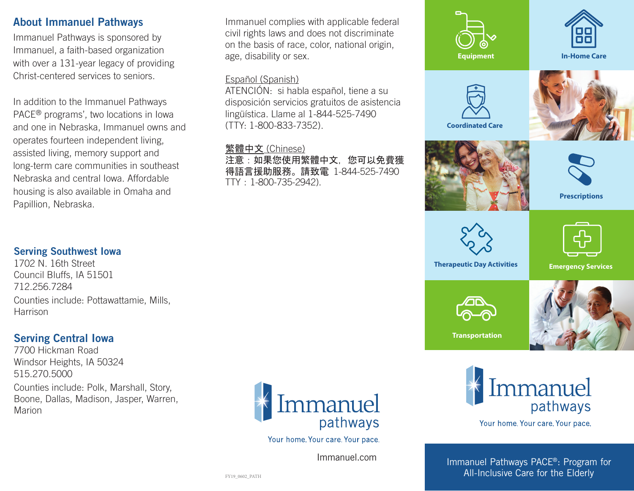### About Immanuel Pathways

Immanuel Pathways is sponsored by Immanuel, a faith-based organization with over a 131-year legacy of providing Christ-centered services to seniors.

In addition to the Immanuel Pathways PACE® programs', two locations in Iowa and one in Nebraska, Immanuel owns and operates fourteen independent living, assisted living, memory support and long-term care communities in southeast Nebraska and central Iowa. Affordable housing is also available in Omaha and Papillion, Nebraska.

Immanuel complies with applicable federal civil rights laws and does not discriminate on the basis of race, color, national origin, age, disability or sex.

#### Español (Spanish)

ATENCIÓN: si habla español, tiene a su disposición servicios gratuitos de asistencia lingüística. Llame al 1-844-525-7490 (TTY: 1-800-833-7352).

#### 繁體中文 (Chinese)

注意:如果您使用繁體中文, 您可以免費獲 得語言援助服務。請致電 1-844-525-7490 TTY:1-800-735-2942).





Your home. Your care. Your pace.

#### Immanuel Pathways PACE®: Program for All-Inclusive Care for the Elderly

### Serving Southwest Iowa

1702 N. 16th Street Council Bluffs, IA 51501 712.256.7284 Counties include: Pottawattamie, Mills, Harrison

# Serving Central Iowa

7700 Hickman Road Windsor Heights, IA 50324 515.270.5000 Counties include: Polk, Marshall, Story, Boone, Dallas, Madison, Jasper, Warren, **Marion** 



Your home. Your care. Your pace.

Immanuel.com Immanuel.com

FY19\_0602\_PATH